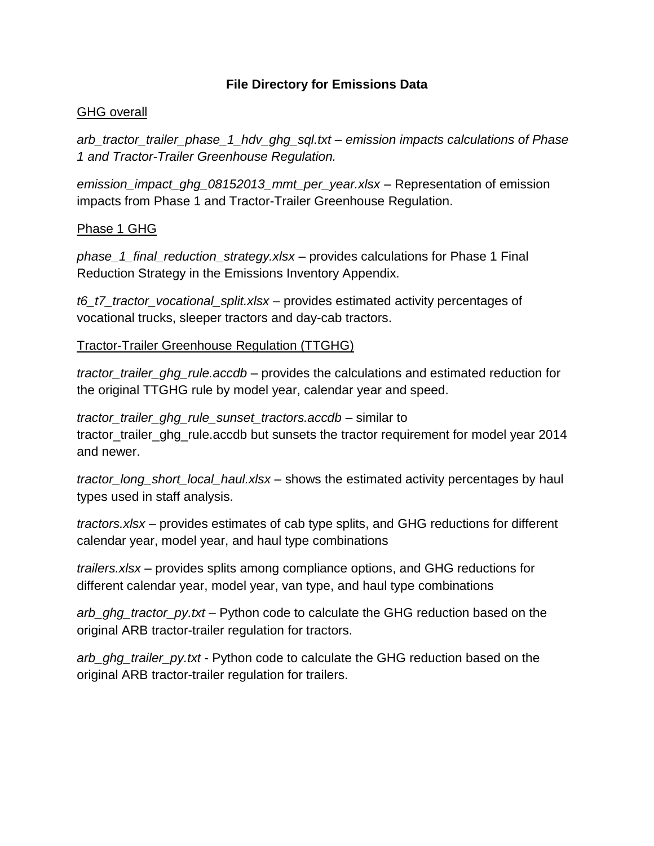## **File Directory for Emissions Data**

### GHG overall

*arb\_tractor\_trailer\_phase\_1\_hdv\_ghg\_sql.txt – emission impacts calculations of Phase 1 and Tractor-Trailer Greenhouse Regulation.*

*emission\_impact\_ghg\_08152013\_mmt\_per\_year.xlsx* – Representation of emission impacts from Phase 1 and Tractor-Trailer Greenhouse Regulation.

#### Phase 1 GHG

*phase\_1\_final\_reduction\_strategy.xlsx* – provides calculations for Phase 1 Final Reduction Strategy in the Emissions Inventory Appendix.

*t6\_t7\_tractor\_vocational\_split.xlsx* – provides estimated activity percentages of vocational trucks, sleeper tractors and day-cab tractors.

## Tractor-Trailer Greenhouse Regulation (TTGHG)

*tractor\_trailer\_ghg\_rule.accdb* – provides the calculations and estimated reduction for the original TTGHG rule by model year, calendar year and speed.

*tractor\_trailer\_ghg\_rule\_sunset\_tractors.accdb* – similar to tractor\_trailer\_ghg\_rule.accdb but sunsets the tractor requirement for model year 2014 and newer.

*tractor\_long\_short\_local\_haul.xlsx* – shows the estimated activity percentages by haul types used in staff analysis.

*tractors.xlsx* – provides estimates of cab type splits, and GHG reductions for different calendar year, model year, and haul type combinations

*trailers.xlsx* – provides splits among compliance options, and GHG reductions for different calendar year, model year, van type, and haul type combinations

*arb\_ghg\_tractor\_py.txt* – Python code to calculate the GHG reduction based on the original ARB tractor-trailer regulation for tractors.

*arb\_ghg\_trailer\_py.txt* - Python code to calculate the GHG reduction based on the original ARB tractor-trailer regulation for trailers.